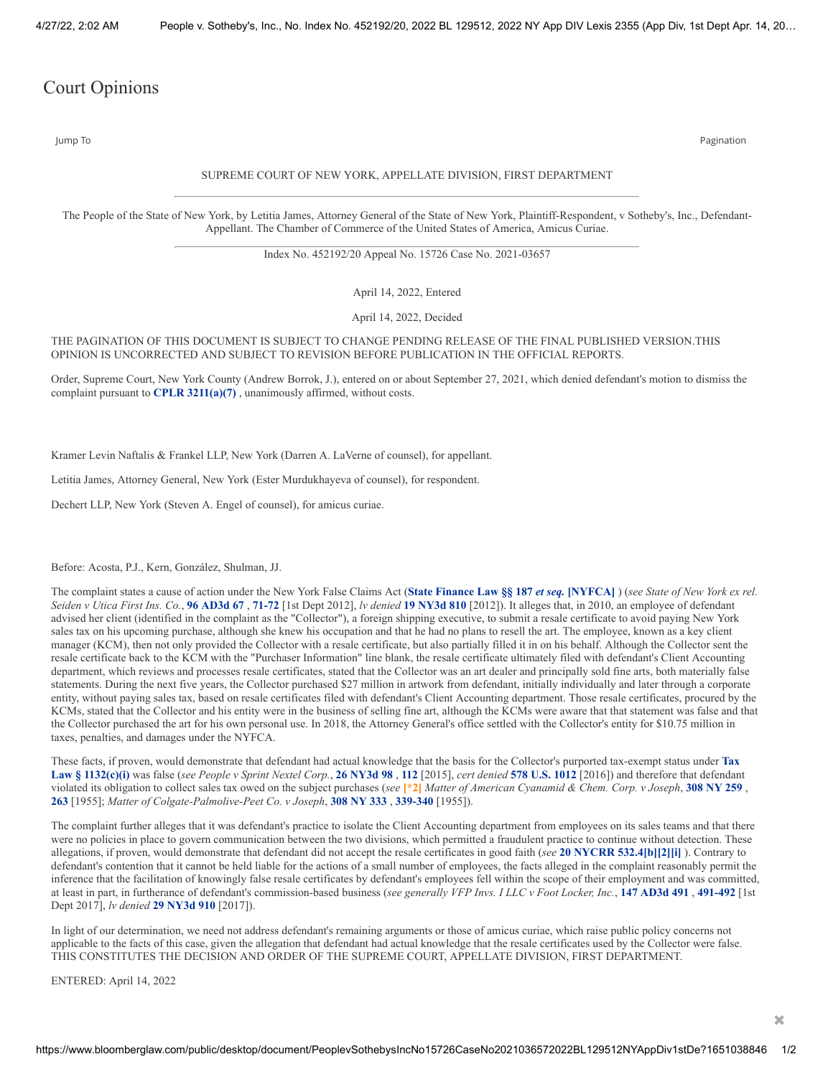## Court Opinions

Jump To Pagination

## SUPREME COURT OF NEW YORK, APPELLATE DIVISION, FIRST DEPARTMENT

The People of the State of New York, by Letitia James, Attorney General of the State of New York, Plaintiff-Respondent, v Sotheby's, Inc., Defendant-Appellant. The Chamber of Commerce of the United States of America, Amicus Curiae.

Index No. 452192/20 Appeal No. 15726 Case No. 2021-03657

April 14, 2022, Entered

April 14, 2022, Decided

## THE PAGINATION OF THIS DOCUMENT IS SUBJECT TO CHANGE PENDING RELEASE OF THE FINAL PUBLISHED VERSION.THIS OPINION IS UNCORRECTED AND SUBJECT TO REVISION BEFORE PUBLICATION IN THE OFFICIAL REPORTS.

Order, Supreme Court, New York County (Andrew Borrok, J.), entered on or about September 27, 2021, which denied defendant's motion to dismiss the complaint pursuant to **CPLR [3211\(a\)\(7\)](https://www.bloomberglaw.com/product/blaw/document/1?citation=CPLR%203211(a)(7)&summary=yes#jcite)** , unanimously affirmed, without costs.

Kramer Levin Naftalis & Frankel LLP, New York (Darren A. LaVerne of counsel), for appellant.

Letitia James, Attorney General, New York (Ester Murdukhayeva of counsel), for respondent.

Dechert LLP, New York (Steven A. Engel of counsel), for amicus curiae.

Before: Acosta, P.J., Kern, González, Shulman, JJ.

The complaint states a cause of action under the New York False Claims Act (State Finance Law §§ 187 et seq. [\[NYFCA\]](https://www.bloomberglaw.com/product/blaw/document/X37UAVH8?jcsearch=State%20Finance%20Law%20187&summary=yes#jcite)) (see State of New York ex rel. Seiden v Utica First Ins. Co., 96 [AD3d](https://www.bloomberglaw.com/product/blaw/document/X1HK0E8003?jcsearch=96%20AD3d%2067&summary=yes#jcite) 67, [71-72](https://www.bloomberglaw.com/product/blaw/document/X1HK0E8003?jcsearch=96%20AD3d%2071-72&summary=yes#jcite) [1st Dept 2012], lv denied 19 [NY3d](https://www.bloomberglaw.com/product/blaw/document/X1EHNAON?jcsearch=19%20NY3d%20810&summary=yes#jcite) 810 [2012]). It alleges that, in 2010, an employee of defendant advised her client (identified in the complaint as the "Collector"), a foreign shipping executive, to submit a resale certificate to avoid paying New York sales tax on his upcoming purchase, although she knew his occupation and that he had no plans to resell the art. The employee, known as a key client manager (KCM), then not only provided the Collector with a resale certificate, but also partially filled it in on his behalf. Although the Collector sent the resale certificate back to the KCM with the "Purchaser Information" line blank, the resale certificate ultimately filed with defendant's Client Accounting department, which reviews and processes resale certificates, stated that the Collector was an art dealer and principally sold fine arts, both materially false statements. During the next five years, the Collector purchased \$27 million in artwork from defendant, initially individually and later through a corporate entity, without paying sales tax, based on resale certificates filed with defendant's Client Accounting department. Those resale certificates, procured by the KCMs, stated that the Collector and his entity were in the business of selling fine art, although the KCMs were aware that that statement was false and that the Collector purchased the art for his own personal use. In 2018, the Attorney General's office settled with the Collector's entity for \$10.75 million in taxes, penalties, and damages under the NYFCA.

These facts, if proven, would [demonstrate](https://www.bloomberglaw.com/product/blaw/document/X37V8I18?jcsearch=Tax%20Law%20%C2%A7%201132(c)(i)&summary=yes#jcite) that defendant had actual knowledge that the basis for the Collector's purported tax-exempt status under **Tax** Law § 1132(c)(i) was false (see People v Sprint Nextel Corp., 26 [NY3d](https://www.bloomberglaw.com/product/blaw/document/X17BR1KN0000N?jcsearch=26%20NY3d%2098&summary=yes#jcite) 98, [112](https://www.bloomberglaw.com/product/blaw/document/X17BR1KN0000N?jcsearch=26%20NY3d%20112&summary=yes#jcite) [2015], cert denied 578 U.S. [1012](https://www.bloomberglaw.com/product/blaw/document/XIPJO7J0000N?jcsearch=578%20U.S.%201012&summary=yes#jcite) [2016]) and therefore that defendant violated its obligation to collect sales tax owed on the subject purchases (see [\*2] Matter of American Cyanamid & Chem. Corp. v Joseph, [308](https://www.bloomberglaw.com/product/blaw/document/X621U2?jcsearch=308%20NY%20259&summary=yes#jcite) NY 259, **[263](https://www.bloomberglaw.com/product/blaw/document/X621U2?jcsearch=308%20NY%20263&summary=yes#jcite)** [1955]; *Matter of Colgate-Palmolive-Peet Co. v Joseph*, **308 NY [333](https://www.bloomberglaw.com/product/blaw/document/X621UJ?jcsearch=308%20NY%20333&summary=yes#jcite)** , **[339-340](https://www.bloomberglaw.com/product/blaw/document/X621UJ?jcsearch=308%20NY%20339-340&summary=yes#jcite)** [1955]).

The complaint further alleges that it was defendant's practice to isolate the Client Accounting department from employees on its sales teams and that there were no policies in place to govern communication between the two divisions, which permitted a fraudulent practice to continue without detection. These allegations, if proven, would demonstrate that defendant did not accept the resale certificates in good faith (*see* **20 NYCRR [532.4\[b\]\[2\]\[i\]](https://www.bloomberglaw.com/product/blaw/document/X41N11H8?jcsearch=20%20NYCRR%20532.4[b][2][i]&summary=yes#jcite)** ). Contrary to defendant's contention that it cannot be held liable for the actions of a small number of employees, the facts alleged in the complaint reasonably permit the inference that the facilitation of knowingly false resale certificates by defendant's employees fell within the scope of their employment and was committed, at least in part, in furtherance of defendant's commission-based business (see generally VFP Invs. I LLC v Foot Locker, Inc., 147 [AD3d](https://www.bloomberglaw.com/product/blaw/document/X98TIRJ0000N?jcsearch=147%20AD3d%20491&summary=yes#jcite) 491, [491-492](https://www.bloomberglaw.com/product/blaw/document/X98TIRJ0000N?jcsearch=147%20AD3d%20491&summary=yes#jcite) [1st Dept 2017], *lv denied* **29 [NY3d](https://www.bloomberglaw.com/product/blaw/document/X1GVK4CI0000N?jcsearch=29%20NY3d%20910&summary=yes#jcite) 910** [2017]).

In light of our determination, we need not address defendant's remaining arguments or those of amicus curiae, which raise public policy concerns not applicable to the facts of this case, given the allegation that defendant had actual knowledge that the resale certificates used by the Collector were false. THIS CONSTITUTES THE DECISION AND ORDER OF THE SUPREME COURT, APPELLATE DIVISION, FIRST DEPARTMENT.

ENTERED: April 14, 2022